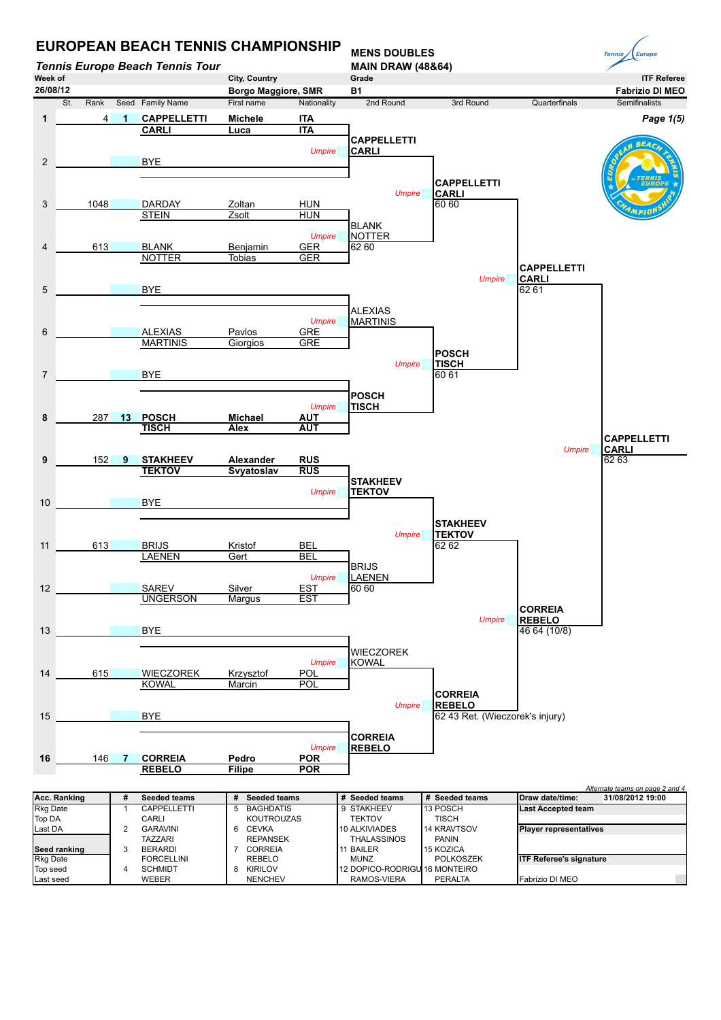

| <b>Rkg Date</b> | CAPPELLETTI       | 5 | <b>BAGHDATIS</b>  | 9 STAKHEEV                     | 113 POSCH      | <b>ILast Accepted team</b>     |
|-----------------|-------------------|---|-------------------|--------------------------------|----------------|--------------------------------|
| Top DA          | CARLI             |   | <b>KOUTROUZAS</b> | TEKTOV                         | <b>TISCH</b>   |                                |
| Last DA         | <b>GARAVINI</b>   |   | CEVKA             | 10 ALKIVIADES                  | 14 KRAVTSOV    | <b>Player representatives</b>  |
|                 | TAZZARI           |   | <b>REPANSEK</b>   | <b>THALASSINOS</b>             | <b>PANIN</b>   |                                |
| Seed ranking    | <b>BERARDI</b>    |   | CORREIA           | 11 BAILER                      | 15 KOZICA      |                                |
| <b>Rkg Date</b> | <b>FORCELLINI</b> |   | REBELO            | <b>MUNZ</b>                    | POLKOSZEK      | <b>ITF Referee's signature</b> |
| Top seed        | <b>SCHMIDT</b>    |   | <b>KIRILOV</b>    | 112 DOPICO-RODRIGU 16 MONTEIRO |                |                                |
| Last seed       | WEBER             |   | <b>NENCHEV</b>    | RAMOS-VIERA                    | <b>PERALTA</b> | <b>IFabrizio DI MEO</b>        |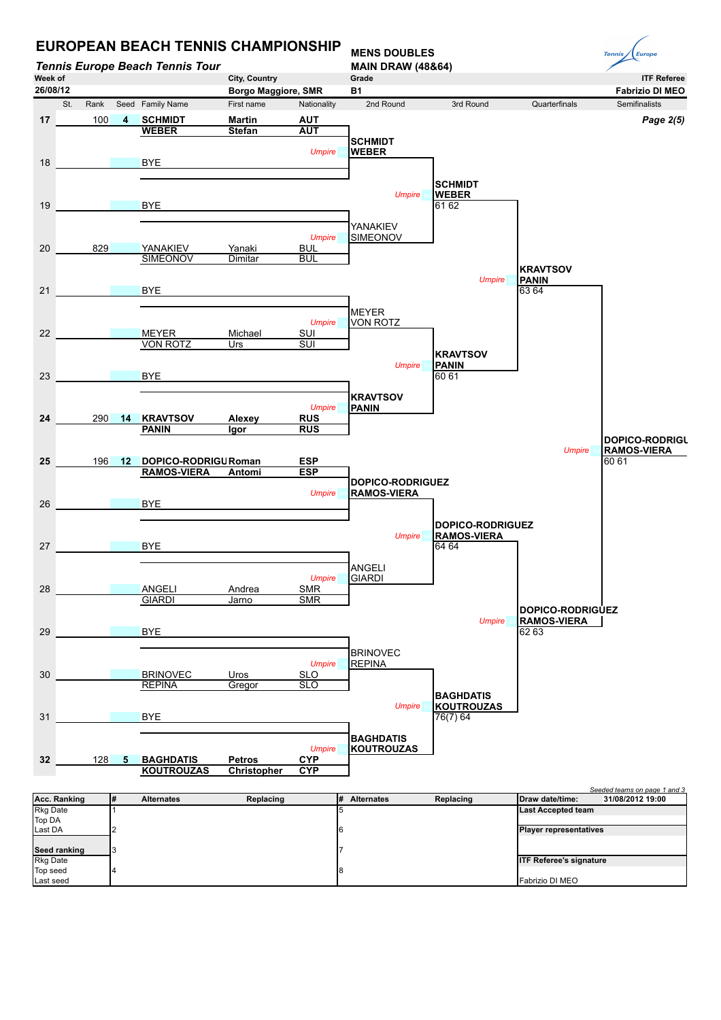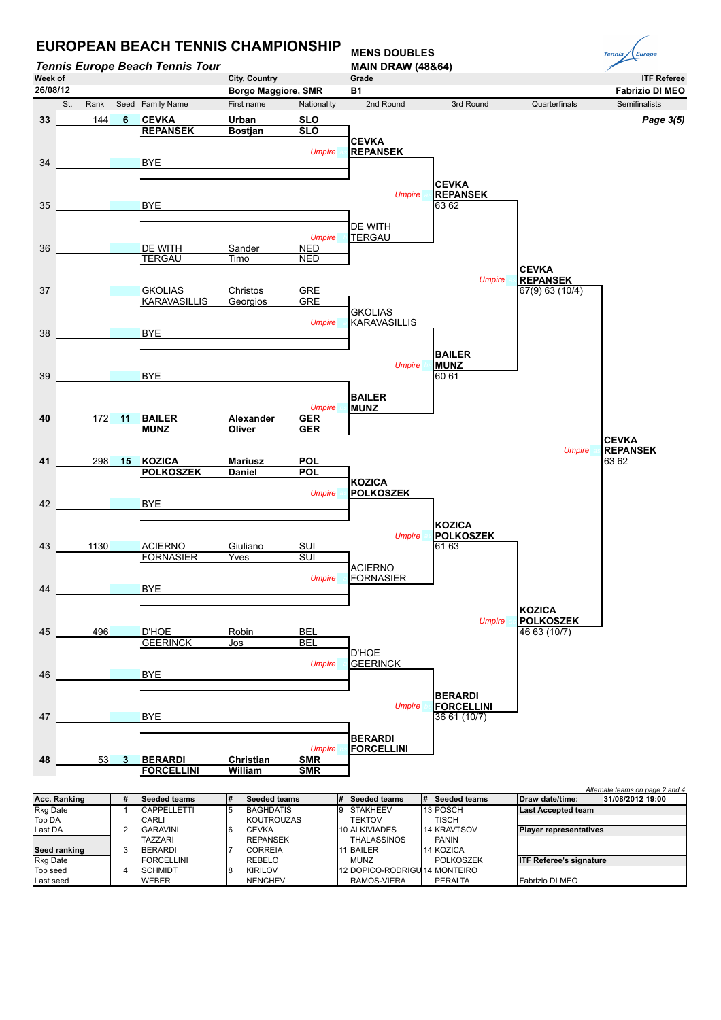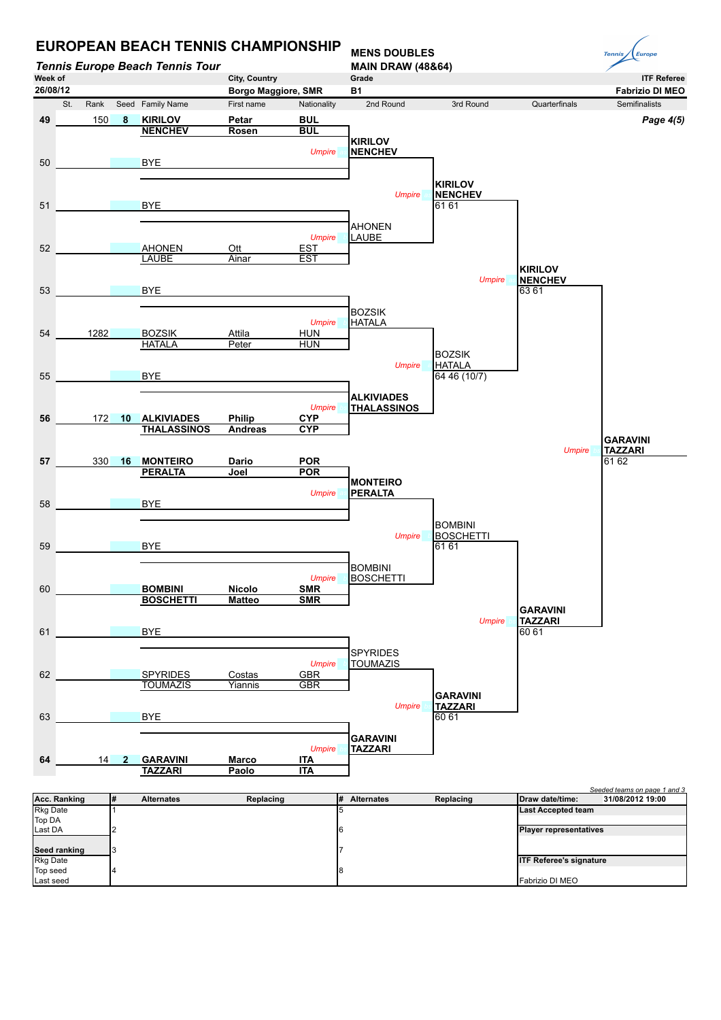

**Seed ranking**<br>Rkg Date **ITF Referee's signature** Top seed 4 8 Fabrizio DI MEO